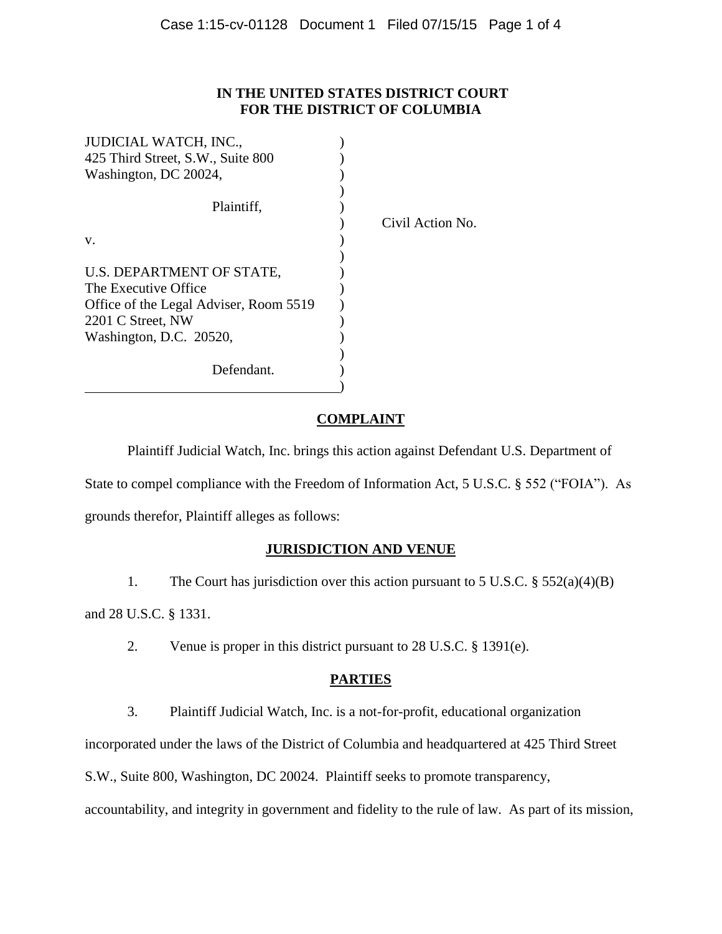### **IN THE UNITED STATES DISTRICT COURT FOR THE DISTRICT OF COLUMBIA**

| <b>JUDICIAL WATCH, INC.,</b>           |                  |
|----------------------------------------|------------------|
| 425 Third Street, S.W., Suite 800      |                  |
| Washington, DC 20024,                  |                  |
|                                        |                  |
| Plaintiff,                             |                  |
|                                        | Civil Action No. |
| V.                                     |                  |
|                                        |                  |
| U.S. DEPARTMENT OF STATE,              |                  |
| The Executive Office                   |                  |
| Office of the Legal Adviser, Room 5519 |                  |
| 2201 C Street, NW                      |                  |
| Washington, D.C. 20520,                |                  |
|                                        |                  |
| Defendant.                             |                  |
|                                        |                  |

# **COMPLAINT**

Plaintiff Judicial Watch, Inc. brings this action against Defendant U.S. Department of State to compel compliance with the Freedom of Information Act, 5 U.S.C. § 552 ("FOIA"). As grounds therefor, Plaintiff alleges as follows:

# **JURISDICTION AND VENUE**

1. The Court has jurisdiction over this action pursuant to 5 U.S.C. § 552(a)(4)(B)

and 28 U.S.C. § 1331.

2. Venue is proper in this district pursuant to 28 U.S.C. § 1391(e).

# **PARTIES**

3. Plaintiff Judicial Watch, Inc. is a not-for-profit, educational organization

incorporated under the laws of the District of Columbia and headquartered at 425 Third Street

S.W., Suite 800, Washington, DC 20024. Plaintiff seeks to promote transparency,

accountability, and integrity in government and fidelity to the rule of law. As part of its mission,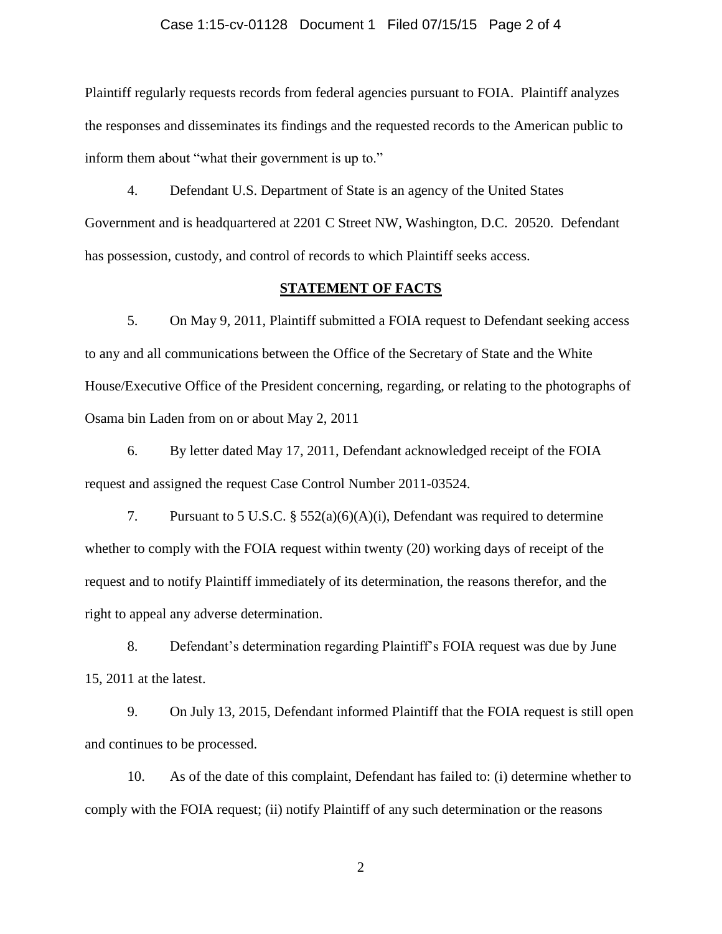#### Case 1:15-cv-01128 Document 1 Filed 07/15/15 Page 2 of 4

Plaintiff regularly requests records from federal agencies pursuant to FOIA. Plaintiff analyzes the responses and disseminates its findings and the requested records to the American public to inform them about "what their government is up to."

4. Defendant U.S. Department of State is an agency of the United States Government and is headquartered at 2201 C Street NW, Washington, D.C. 20520. Defendant has possession, custody, and control of records to which Plaintiff seeks access.

#### **STATEMENT OF FACTS**

5. On May 9, 2011, Plaintiff submitted a FOIA request to Defendant seeking access to any and all communications between the Office of the Secretary of State and the White House/Executive Office of the President concerning, regarding, or relating to the photographs of Osama bin Laden from on or about May 2, 2011

6. By letter dated May 17, 2011, Defendant acknowledged receipt of the FOIA request and assigned the request Case Control Number 2011-03524.

7. Pursuant to 5 U.S.C. § 552(a)(6)(A)(i), Defendant was required to determine whether to comply with the FOIA request within twenty (20) working days of receipt of the request and to notify Plaintiff immediately of its determination, the reasons therefor, and the right to appeal any adverse determination.

8. Defendant's determination regarding Plaintiff's FOIA request was due by June 15, 2011 at the latest.

9. On July 13, 2015, Defendant informed Plaintiff that the FOIA request is still open and continues to be processed.

10. As of the date of this complaint, Defendant has failed to: (i) determine whether to comply with the FOIA request; (ii) notify Plaintiff of any such determination or the reasons

2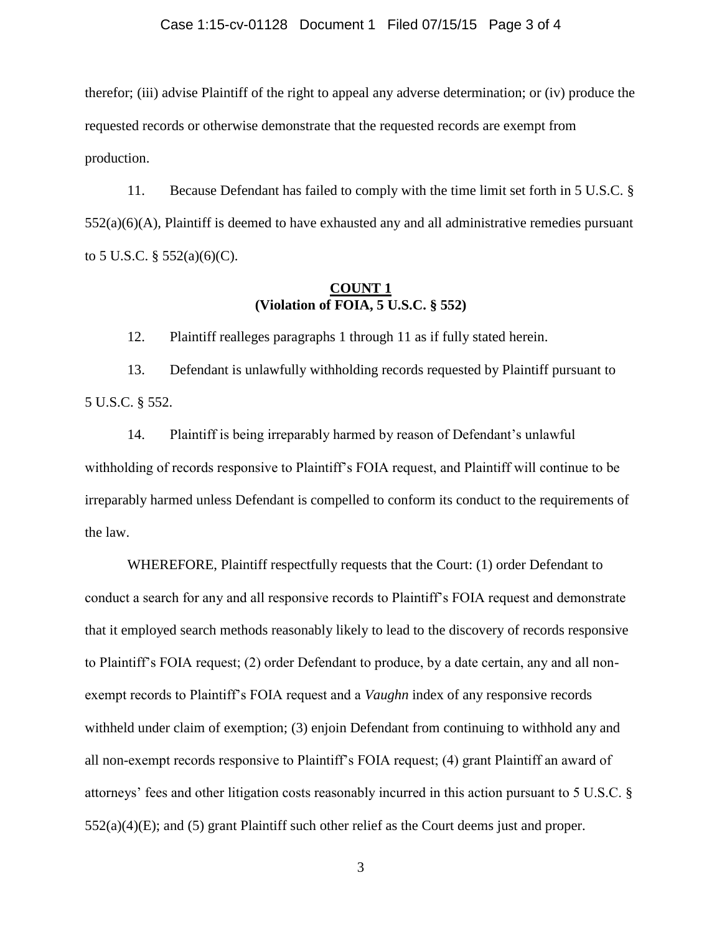#### Case 1:15-cv-01128 Document 1 Filed 07/15/15 Page 3 of 4

therefor; (iii) advise Plaintiff of the right to appeal any adverse determination; or (iv) produce the requested records or otherwise demonstrate that the requested records are exempt from production.

11. Because Defendant has failed to comply with the time limit set forth in 5 U.S.C. §  $552(a)(6)(A)$ , Plaintiff is deemed to have exhausted any and all administrative remedies pursuant to 5 U.S.C.  $\S$  552(a)(6)(C).

### **COUNT 1 (Violation of FOIA, 5 U.S.C. § 552)**

12. Plaintiff realleges paragraphs 1 through 11 as if fully stated herein.

13. Defendant is unlawfully withholding records requested by Plaintiff pursuant to 5 U.S.C. § 552.

14. Plaintiff is being irreparably harmed by reason of Defendant's unlawful withholding of records responsive to Plaintiff's FOIA request, and Plaintiff will continue to be irreparably harmed unless Defendant is compelled to conform its conduct to the requirements of the law.

WHEREFORE, Plaintiff respectfully requests that the Court: (1) order Defendant to conduct a search for any and all responsive records to Plaintiff's FOIA request and demonstrate that it employed search methods reasonably likely to lead to the discovery of records responsive to Plaintiff's FOIA request; (2) order Defendant to produce, by a date certain, any and all nonexempt records to Plaintiff's FOIA request and a *Vaughn* index of any responsive records withheld under claim of exemption; (3) enjoin Defendant from continuing to withhold any and all non-exempt records responsive to Plaintiff's FOIA request; (4) grant Plaintiff an award of attorneys' fees and other litigation costs reasonably incurred in this action pursuant to 5 U.S.C. §  $552(a)(4)(E)$ ; and (5) grant Plaintiff such other relief as the Court deems just and proper.

3